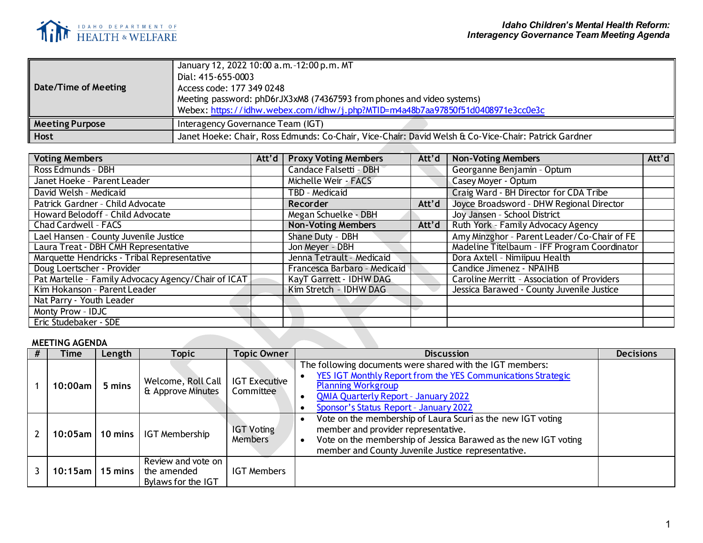

| Date/Time of Meeting   | January 12, 2022 10:00 a.m. -12:00 p.m. MT<br>Dial: 415-655-0003<br>Access code: 177 349 0248<br>Meeting password: phD6rJX3xM8 (74367593 from phones and video systems)<br>Webex: https://idhw.webex.com/idhw/j.php?MTID=m4a48b7aa97850f51d0408971e3cc0e3c |
|------------------------|------------------------------------------------------------------------------------------------------------------------------------------------------------------------------------------------------------------------------------------------------------|
| <b>Meeting Purpose</b> | Interagency Governance Team (IGT)                                                                                                                                                                                                                          |
| <b>Host</b>            | Janet Hoeke: Chair, Ross Edmunds: Co-Chair, Vice-Chair: David Welsh & Co-Vice-Chair: Patrick Gardner                                                                                                                                                       |
|                        |                                                                                                                                                                                                                                                            |

| <b>Voting Members</b>                               | Att'd $\vert$ | <b>Proxy Voting Members</b>  | Att'd | <b>Non-Voting Members</b>                    | Att'd |
|-----------------------------------------------------|---------------|------------------------------|-------|----------------------------------------------|-------|
| Ross Edmunds - DBH                                  |               | Candace Falsetti - DBH       |       | Georganne Benjamin - Optum                   |       |
| Janet Hoeke - Parent Leader                         |               | Michelle Weir - FACS         |       | Casey Moyer - Optum                          |       |
| David Welsh - Medicaid                              |               | TBD - Medicaid               |       | Craig Ward - BH Director for CDA Tribe       |       |
| Patrick Gardner - Child Advocate                    |               | <b>Recorder</b>              | Att'd | Joyce Broadsword - DHW Regional Director     |       |
| Howard Belodoff - Child Advocate                    |               | Megan Schuelke - DBH         |       | Joy Jansen - School District                 |       |
| Chad Cardwell - FACS                                |               | <b>Non-Voting Members</b>    | Att'd | Ruth York - Family Advocacy Agency           |       |
| Lael Hansen - County Juvenile Justice               |               | Shane Duty - DBH             |       | Amy Minzghor - Parent Leader/Co-Chair of FE  |       |
| Laura Treat - DBH CMH Representative                |               | Jon Meyer - DBH              |       | Madeline Titelbaum - IFF Program Coordinator |       |
| Marquette Hendricks - Tribal Representative         |               | Jenna Tetrault - Medicaid    |       | Dora Axtell - Nimiipuu Health                |       |
| Doug Loertscher - Provider                          |               | Francesca Barbaro - Medicaid |       | Candice Jimenez - NPAIHB                     |       |
| Pat Martelle - Family Advocacy Agency/Chair of ICAT |               | KayT Garrett - IDHW DAG      |       | Caroline Merritt - Association of Providers  |       |
| Kim Hokanson - Parent Leader                        |               | Kim Stretch - IDHW DAG       |       | Jessica Barawed - County Juvenile Justice    |       |
| Nat Parry - Youth Leader                            |               |                              |       |                                              |       |
| Monty Prow - IDJC                                   |               |                              |       |                                              |       |
| Eric Studebaker - SDE                               |               |                              |       |                                              |       |

## **MEETING AGENDA**

| Time         | Length  | Topic                                                   | <b>Topic Owner</b>                  | <b>Discussion</b>                                                                                                                                                                                                                               | <b>Decisions</b> |
|--------------|---------|---------------------------------------------------------|-------------------------------------|-------------------------------------------------------------------------------------------------------------------------------------------------------------------------------------------------------------------------------------------------|------------------|
| 10:00am      | 5 mins  | Welcome, Roll Call<br>& Approve Minutes                 | <b>IGT Executive</b><br>Committee   | The following documents were shared with the IGT members:<br>YES IGT Monthly Report from the YES Communications Strategic<br><b>Planning Workgroup</b><br><b>QMIA Quarterly Report - January 2022</b><br>Sponsor's Status Report - January 2022 |                  |
| $10:05$ am l |         | 10 mins   IGT Membership                                | <b>IGT Voting</b><br><b>Members</b> | Vote on the membership of Laura Scuri as the new IGT voting<br>member and provider representative.<br>Vote on the membership of Jessica Barawed as the new IGT voting<br>member and County Juvenile Justice representative.                     |                  |
| $10:15$ am   | 15 mins | Review and vote on<br>the amended<br>Bylaws for the IGT | <b>IGT Members</b>                  |                                                                                                                                                                                                                                                 |                  |